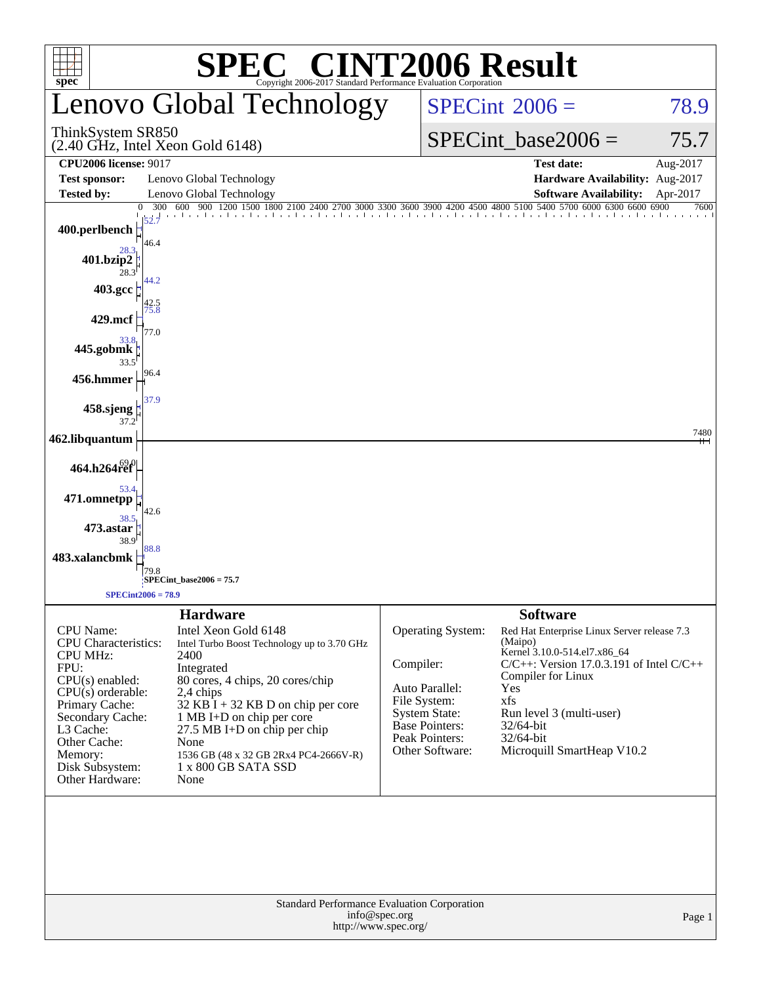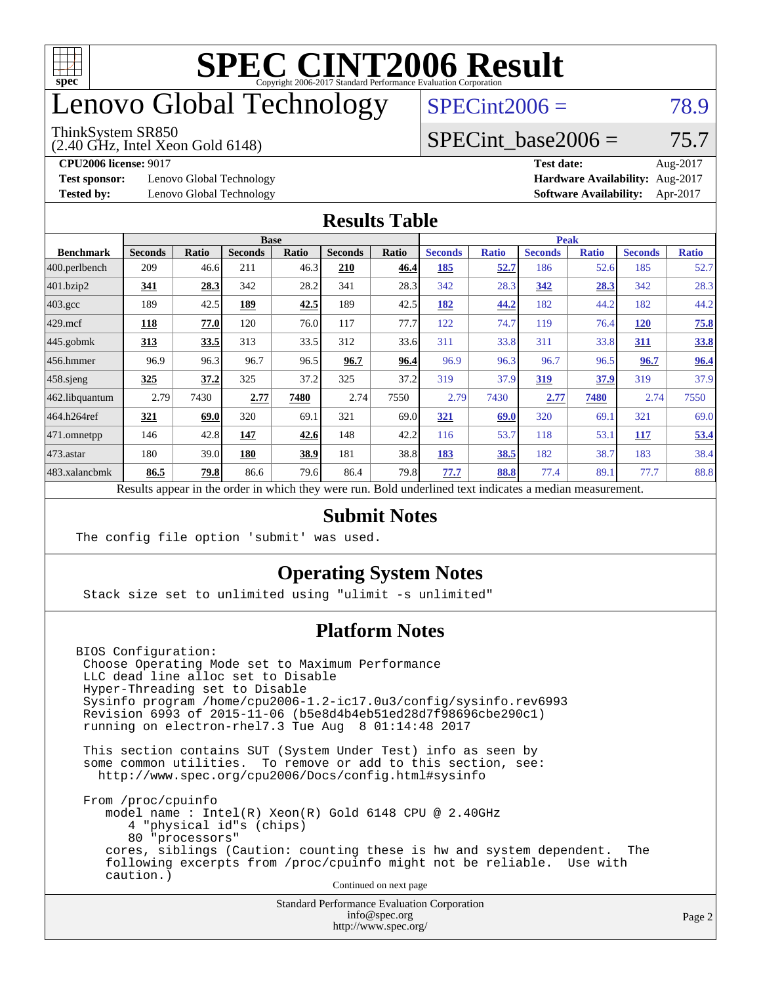

## enovo Global Technology

#### ThinkSystem SR850

(2.40 GHz, Intel Xeon Gold 6148)

 $SPECint2006 = 78.9$  $SPECint2006 = 78.9$ 

#### SPECint base2006 =  $75.7$

**[Test sponsor:](http://www.spec.org/auto/cpu2006/Docs/result-fields.html#Testsponsor)** Lenovo Global Technology **[Hardware Availability:](http://www.spec.org/auto/cpu2006/Docs/result-fields.html#HardwareAvailability)** Aug-2017

**[CPU2006 license:](http://www.spec.org/auto/cpu2006/Docs/result-fields.html#CPU2006license)** 9017 **[Test date:](http://www.spec.org/auto/cpu2006/Docs/result-fields.html#Testdate)** Aug-2017 **[Tested by:](http://www.spec.org/auto/cpu2006/Docs/result-fields.html#Testedby)** Lenovo Global Technology **[Software Availability:](http://www.spec.org/auto/cpu2006/Docs/result-fields.html#SoftwareAvailability)** Apr-2017

#### **[Results Table](http://www.spec.org/auto/cpu2006/Docs/result-fields.html#ResultsTable)**

|                                                                                                          | <b>Base</b>    |              |                |              |                |       | <b>Peak</b>    |              |                |              |                |              |
|----------------------------------------------------------------------------------------------------------|----------------|--------------|----------------|--------------|----------------|-------|----------------|--------------|----------------|--------------|----------------|--------------|
| <b>Benchmark</b>                                                                                         | <b>Seconds</b> | <b>Ratio</b> | <b>Seconds</b> | <b>Ratio</b> | <b>Seconds</b> | Ratio | <b>Seconds</b> | <b>Ratio</b> | <b>Seconds</b> | <b>Ratio</b> | <b>Seconds</b> | <b>Ratio</b> |
| 400.perlbench                                                                                            | 209            | 46.6         | 211            | 46.3         | 210            | 46.4  | 185            | <u>52.7</u>  | 186            | 52.6         | 185            | 52.7         |
| 401.bzip2                                                                                                | 341            | 28.3         | 342            | 28.2         | 341            | 28.3  | 342            | 28.3         | 342            | 28.3         | 342            | 28.3         |
| $403.\mathrm{gcc}$                                                                                       | 189            | 42.5         | 189            | 42.5         | 189            | 42.5  | 182            | 44.2         | 182            | 44.2         | 182            | 44.2         |
| $429$ .mcf                                                                                               | 118            | 77.0         | 120            | 76.0         | 117            | 77.7  | 122            | 74.7         | 119            | 76.4         | <b>120</b>     | 75.8         |
| $445$ .gobmk                                                                                             | 313            | 33.5         | 313            | 33.5         | 312            | 33.6  | 311            | 33.8         | 311            | 33.8         | 311            | 33.8         |
| $456.$ hmmer                                                                                             | 96.9           | 96.3         | 96.7           | 96.5         | 96.7           | 96.4  | 96.9           | 96.3         | 96.7           | 96.5         | 96.7           | 96.4         |
| $458$ .sjeng                                                                                             | <u>325</u>     | 37.2         | 325            | 37.2         | 325            | 37.2  | 319            | 37.9         | <u>319</u>     | 37.9         | 319            | 37.9         |
| 462.libquantum                                                                                           | 2.79           | 7430         | 2.77           | 7480         | 2.74           | 7550  | 2.79           | 7430         | 2.77           | 7480         | 2.74           | 7550         |
| 464.h264ref                                                                                              | 321            | 69.0         | 320            | 69.1         | 321            | 69.0  | 321            | 69.0         | 320            | 69.1         | 321            | 69.0         |
| $ 471$ .omnetpp                                                                                          | 146            | 42.8         | 147            | 42.6         | 148            | 42.2  | 116            | 53.7         | 118            | 53.1         | 117            | 53.4         |
| $473$ . astar                                                                                            | 180            | 39.0         | 180            | 38.9         | 181            | 38.8  | 183            | 38.5         | 182            | 38.7         | 183            | 38.4         |
| 483.xalancbmk                                                                                            | 86.5           | 79.8         | 86.6           | 79.6         | 86.4           | 79.8  | 77.7           | 88.8         | 77.4           | 89.1         | 77.7           | 88.8         |
| Results appear in the order in which they were run. Bold underlined text indicates a median measurement. |                |              |                |              |                |       |                |              |                |              |                |              |

#### **[Submit Notes](http://www.spec.org/auto/cpu2006/Docs/result-fields.html#SubmitNotes)**

The config file option 'submit' was used.

#### **[Operating System Notes](http://www.spec.org/auto/cpu2006/Docs/result-fields.html#OperatingSystemNotes)**

Stack size set to unlimited using "ulimit -s unlimited"

#### **[Platform Notes](http://www.spec.org/auto/cpu2006/Docs/result-fields.html#PlatformNotes)**

BIOS Configuration: Choose Operating Mode set to Maximum Performance LLC dead line alloc set to Disable Hyper-Threading set to Disable Sysinfo program /home/cpu2006-1.2-ic17.0u3/config/sysinfo.rev6993 Revision 6993 of 2015-11-06 (b5e8d4b4eb51ed28d7f98696cbe290c1) running on electron-rhel7.3 Tue Aug 8 01:14:48 2017

 This section contains SUT (System Under Test) info as seen by some common utilities. To remove or add to this section, see: <http://www.spec.org/cpu2006/Docs/config.html#sysinfo>

 From /proc/cpuinfo model name : Intel(R) Xeon(R) Gold 6148 CPU @ 2.40GHz 4 "physical id"s (chips) 80 "processors" cores, siblings (Caution: counting these is hw and system dependent. The following excerpts from /proc/cpuinfo might not be reliable. Use with caution.)

Continued on next page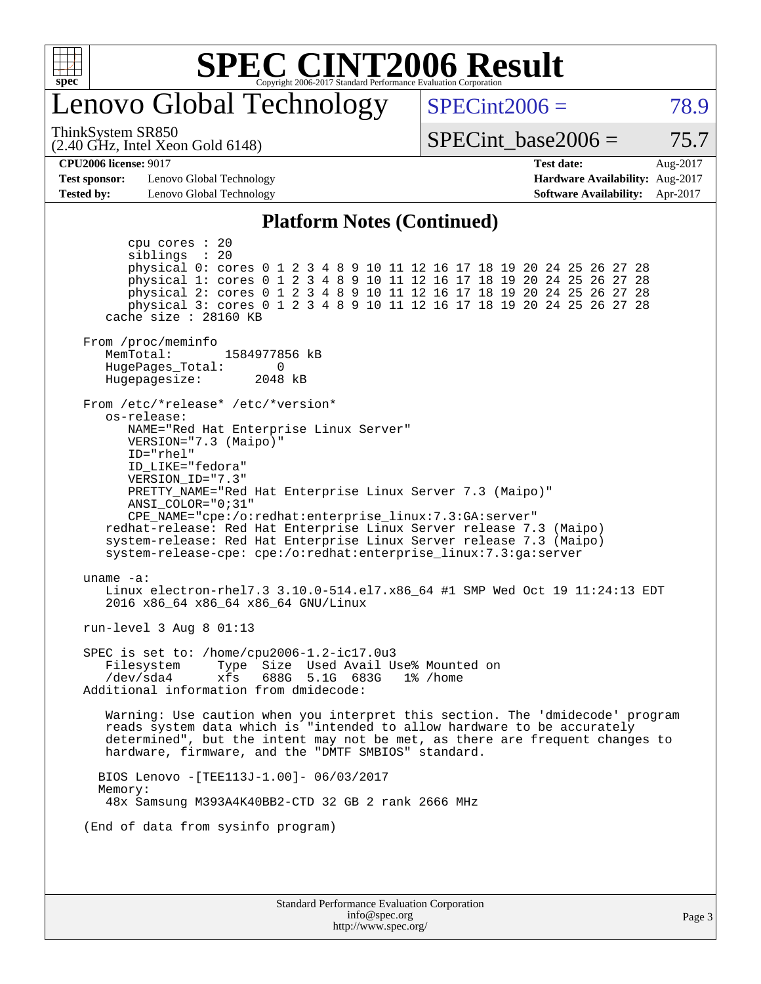

## enovo Global Technology

ThinkSystem SR850

(2.40 GHz, Intel Xeon Gold 6148)

 $SPECint2006 = 78.9$  $SPECint2006 = 78.9$ 

SPECint base2006 =  $75.7$ 

#### **[CPU2006 license:](http://www.spec.org/auto/cpu2006/Docs/result-fields.html#CPU2006license)** 9017 **[Test date:](http://www.spec.org/auto/cpu2006/Docs/result-fields.html#Testdate)** Aug-2017

**[Test sponsor:](http://www.spec.org/auto/cpu2006/Docs/result-fields.html#Testsponsor)** Lenovo Global Technology **[Hardware Availability:](http://www.spec.org/auto/cpu2006/Docs/result-fields.html#HardwareAvailability)** Aug-2017

# **[Tested by:](http://www.spec.org/auto/cpu2006/Docs/result-fields.html#Testedby)** Lenovo Global Technology **[Software Availability:](http://www.spec.org/auto/cpu2006/Docs/result-fields.html#SoftwareAvailability)** Apr-2017

#### **[Platform Notes \(Continued\)](http://www.spec.org/auto/cpu2006/Docs/result-fields.html#PlatformNotes)**

Standard Performance Evaluation Corporation [info@spec.org](mailto:info@spec.org) <http://www.spec.org/> Page 3 cpu cores : 20 siblings : 20 physical 0: cores 0 1 2 3 4 8 9 10 11 12 16 17 18 19 20 24 25 26 27 28 physical 1: cores 0 1 2 3 4 8 9 10 11 12 16 17 18 19 20 24 25 26 27 28 physical 2: cores 0 1 2 3 4 8 9 10 11 12 16 17 18 19 20 24 25 26 27 28 physical 3: cores 0 1 2 3 4 8 9 10 11 12 16 17 18 19 20 24 25 26 27 28 cache size : 28160 KB From /proc/meminfo MemTotal: 1584977856 kB<br>HugePages Total: 0 HugePages\_Total: 0 Hugepagesize: 2048 kB From /etc/\*release\* /etc/\*version\* os-release: NAME="Red Hat Enterprise Linux Server" VERSION="7.3 (Maipo)" ID="rhel" ID\_LIKE="fedora" VERSION\_ID="7.3" PRETTY\_NAME="Red Hat Enterprise Linux Server 7.3 (Maipo)" ANSI\_COLOR="0;31" CPE\_NAME="cpe:/o:redhat:enterprise\_linux:7.3:GA:server" redhat-release: Red Hat Enterprise Linux Server release 7.3 (Maipo) system-release: Red Hat Enterprise Linux Server release 7.3 (Maipo) system-release-cpe: cpe:/o:redhat:enterprise\_linux:7.3:ga:server uname -a: Linux electron-rhel7.3 3.10.0-514.el7.x86\_64 #1 SMP Wed Oct 19 11:24:13 EDT 2016 x86\_64 x86\_64 x86\_64 GNU/Linux run-level 3 Aug 8 01:13 SPEC is set to: /home/cpu2006-1.2-ic17.0u3 Filesystem Type Size Used Avail Use% Mounted on /dev/sda4 xfs 688G 5.1G 683G 1% /home Additional information from dmidecode: Warning: Use caution when you interpret this section. The 'dmidecode' program reads system data which is "intended to allow hardware to be accurately determined", but the intent may not be met, as there are frequent changes to hardware, firmware, and the "DMTF SMBIOS" standard. BIOS Lenovo -[TEE113J-1.00]- 06/03/2017 Memory: 48x Samsung M393A4K40BB2-CTD 32 GB 2 rank 2666 MHz (End of data from sysinfo program)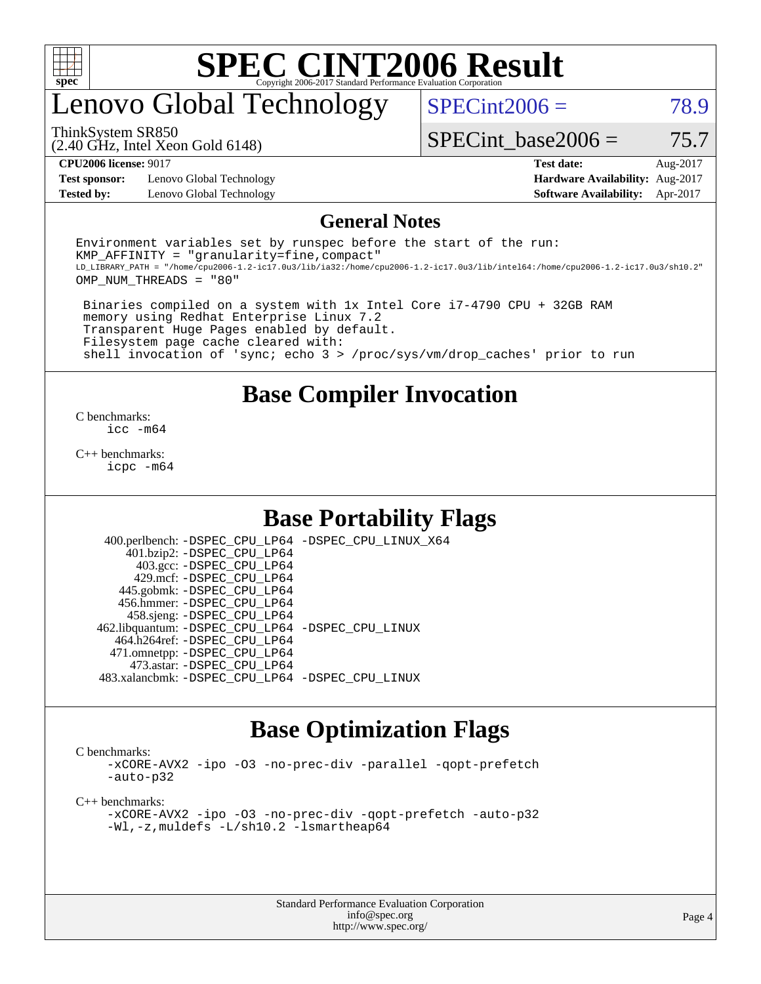

# enovo Global Technology

 $SPECint2006 = 78.9$  $SPECint2006 = 78.9$ 

ThinkSystem SR850

(2.40 GHz, Intel Xeon Gold 6148)

SPECint base2006 =  $75.7$ 

**[Test sponsor:](http://www.spec.org/auto/cpu2006/Docs/result-fields.html#Testsponsor)** Lenovo Global Technology **[Hardware Availability:](http://www.spec.org/auto/cpu2006/Docs/result-fields.html#HardwareAvailability)** Aug-2017 **[Tested by:](http://www.spec.org/auto/cpu2006/Docs/result-fields.html#Testedby)** Lenovo Global Technology **[Software Availability:](http://www.spec.org/auto/cpu2006/Docs/result-fields.html#SoftwareAvailability)** Apr-2017

**[CPU2006 license:](http://www.spec.org/auto/cpu2006/Docs/result-fields.html#CPU2006license)** 9017 **[Test date:](http://www.spec.org/auto/cpu2006/Docs/result-fields.html#Testdate)** Aug-2017

#### **[General Notes](http://www.spec.org/auto/cpu2006/Docs/result-fields.html#GeneralNotes)**

Environment variables set by runspec before the start of the run:  $KMP$  AFFINITY = "granularity=fine, compact" LD\_LIBRARY\_PATH = "/home/cpu2006-1.2-ic17.0u3/lib/ia32:/home/cpu2006-1.2-ic17.0u3/lib/intel64:/home/cpu2006-1.2-ic17.0u3/sh10.2" OMP\_NUM\_THREADS = "80"

 Binaries compiled on a system with 1x Intel Core i7-4790 CPU + 32GB RAM memory using Redhat Enterprise Linux 7.2 Transparent Huge Pages enabled by default. Filesystem page cache cleared with: shell invocation of 'sync; echo 3 > /proc/sys/vm/drop\_caches' prior to run

#### **[Base Compiler Invocation](http://www.spec.org/auto/cpu2006/Docs/result-fields.html#BaseCompilerInvocation)**

[C benchmarks](http://www.spec.org/auto/cpu2006/Docs/result-fields.html#Cbenchmarks): [icc -m64](http://www.spec.org/cpu2006/results/res2017q4/cpu2006-20170918-49928.flags.html#user_CCbase_intel_icc_64bit_bda6cc9af1fdbb0edc3795bac97ada53)

[C++ benchmarks:](http://www.spec.org/auto/cpu2006/Docs/result-fields.html#CXXbenchmarks) [icpc -m64](http://www.spec.org/cpu2006/results/res2017q4/cpu2006-20170918-49928.flags.html#user_CXXbase_intel_icpc_64bit_fc66a5337ce925472a5c54ad6a0de310)

### **[Base Portability Flags](http://www.spec.org/auto/cpu2006/Docs/result-fields.html#BasePortabilityFlags)**

 400.perlbench: [-DSPEC\\_CPU\\_LP64](http://www.spec.org/cpu2006/results/res2017q4/cpu2006-20170918-49928.flags.html#b400.perlbench_basePORTABILITY_DSPEC_CPU_LP64) [-DSPEC\\_CPU\\_LINUX\\_X64](http://www.spec.org/cpu2006/results/res2017q4/cpu2006-20170918-49928.flags.html#b400.perlbench_baseCPORTABILITY_DSPEC_CPU_LINUX_X64) 401.bzip2: [-DSPEC\\_CPU\\_LP64](http://www.spec.org/cpu2006/results/res2017q4/cpu2006-20170918-49928.flags.html#suite_basePORTABILITY401_bzip2_DSPEC_CPU_LP64) 403.gcc: [-DSPEC\\_CPU\\_LP64](http://www.spec.org/cpu2006/results/res2017q4/cpu2006-20170918-49928.flags.html#suite_basePORTABILITY403_gcc_DSPEC_CPU_LP64) 429.mcf: [-DSPEC\\_CPU\\_LP64](http://www.spec.org/cpu2006/results/res2017q4/cpu2006-20170918-49928.flags.html#suite_basePORTABILITY429_mcf_DSPEC_CPU_LP64) 445.gobmk: [-DSPEC\\_CPU\\_LP64](http://www.spec.org/cpu2006/results/res2017q4/cpu2006-20170918-49928.flags.html#suite_basePORTABILITY445_gobmk_DSPEC_CPU_LP64) 456.hmmer: [-DSPEC\\_CPU\\_LP64](http://www.spec.org/cpu2006/results/res2017q4/cpu2006-20170918-49928.flags.html#suite_basePORTABILITY456_hmmer_DSPEC_CPU_LP64) 458.sjeng: [-DSPEC\\_CPU\\_LP64](http://www.spec.org/cpu2006/results/res2017q4/cpu2006-20170918-49928.flags.html#suite_basePORTABILITY458_sjeng_DSPEC_CPU_LP64) 462.libquantum: [-DSPEC\\_CPU\\_LP64](http://www.spec.org/cpu2006/results/res2017q4/cpu2006-20170918-49928.flags.html#suite_basePORTABILITY462_libquantum_DSPEC_CPU_LP64) [-DSPEC\\_CPU\\_LINUX](http://www.spec.org/cpu2006/results/res2017q4/cpu2006-20170918-49928.flags.html#b462.libquantum_baseCPORTABILITY_DSPEC_CPU_LINUX) 464.h264ref: [-DSPEC\\_CPU\\_LP64](http://www.spec.org/cpu2006/results/res2017q4/cpu2006-20170918-49928.flags.html#suite_basePORTABILITY464_h264ref_DSPEC_CPU_LP64) 471.omnetpp: [-DSPEC\\_CPU\\_LP64](http://www.spec.org/cpu2006/results/res2017q4/cpu2006-20170918-49928.flags.html#suite_basePORTABILITY471_omnetpp_DSPEC_CPU_LP64) 473.astar: [-DSPEC\\_CPU\\_LP64](http://www.spec.org/cpu2006/results/res2017q4/cpu2006-20170918-49928.flags.html#suite_basePORTABILITY473_astar_DSPEC_CPU_LP64) 483.xalancbmk: [-DSPEC\\_CPU\\_LP64](http://www.spec.org/cpu2006/results/res2017q4/cpu2006-20170918-49928.flags.html#suite_basePORTABILITY483_xalancbmk_DSPEC_CPU_LP64) [-DSPEC\\_CPU\\_LINUX](http://www.spec.org/cpu2006/results/res2017q4/cpu2006-20170918-49928.flags.html#b483.xalancbmk_baseCXXPORTABILITY_DSPEC_CPU_LINUX)

### **[Base Optimization Flags](http://www.spec.org/auto/cpu2006/Docs/result-fields.html#BaseOptimizationFlags)**

[C benchmarks](http://www.spec.org/auto/cpu2006/Docs/result-fields.html#Cbenchmarks):

[-xCORE-AVX2](http://www.spec.org/cpu2006/results/res2017q4/cpu2006-20170918-49928.flags.html#user_CCbase_f-xCORE-AVX2) [-ipo](http://www.spec.org/cpu2006/results/res2017q4/cpu2006-20170918-49928.flags.html#user_CCbase_f-ipo) [-O3](http://www.spec.org/cpu2006/results/res2017q4/cpu2006-20170918-49928.flags.html#user_CCbase_f-O3) [-no-prec-div](http://www.spec.org/cpu2006/results/res2017q4/cpu2006-20170918-49928.flags.html#user_CCbase_f-no-prec-div) [-parallel](http://www.spec.org/cpu2006/results/res2017q4/cpu2006-20170918-49928.flags.html#user_CCbase_f-parallel) [-qopt-prefetch](http://www.spec.org/cpu2006/results/res2017q4/cpu2006-20170918-49928.flags.html#user_CCbase_f-qopt-prefetch) [-auto-p32](http://www.spec.org/cpu2006/results/res2017q4/cpu2006-20170918-49928.flags.html#user_CCbase_f-auto-p32)

[C++ benchmarks:](http://www.spec.org/auto/cpu2006/Docs/result-fields.html#CXXbenchmarks)

[-xCORE-AVX2](http://www.spec.org/cpu2006/results/res2017q4/cpu2006-20170918-49928.flags.html#user_CXXbase_f-xCORE-AVX2) [-ipo](http://www.spec.org/cpu2006/results/res2017q4/cpu2006-20170918-49928.flags.html#user_CXXbase_f-ipo) [-O3](http://www.spec.org/cpu2006/results/res2017q4/cpu2006-20170918-49928.flags.html#user_CXXbase_f-O3) [-no-prec-div](http://www.spec.org/cpu2006/results/res2017q4/cpu2006-20170918-49928.flags.html#user_CXXbase_f-no-prec-div) [-qopt-prefetch](http://www.spec.org/cpu2006/results/res2017q4/cpu2006-20170918-49928.flags.html#user_CXXbase_f-qopt-prefetch) [-auto-p32](http://www.spec.org/cpu2006/results/res2017q4/cpu2006-20170918-49928.flags.html#user_CXXbase_f-auto-p32) [-Wl,-z,muldefs](http://www.spec.org/cpu2006/results/res2017q4/cpu2006-20170918-49928.flags.html#user_CXXbase_link_force_multiple1_74079c344b956b9658436fd1b6dd3a8a) [-L/sh10.2 -lsmartheap64](http://www.spec.org/cpu2006/results/res2017q4/cpu2006-20170918-49928.flags.html#user_CXXbase_SmartHeap64_63911d860fc08c15fa1d5bf319b9d8d5)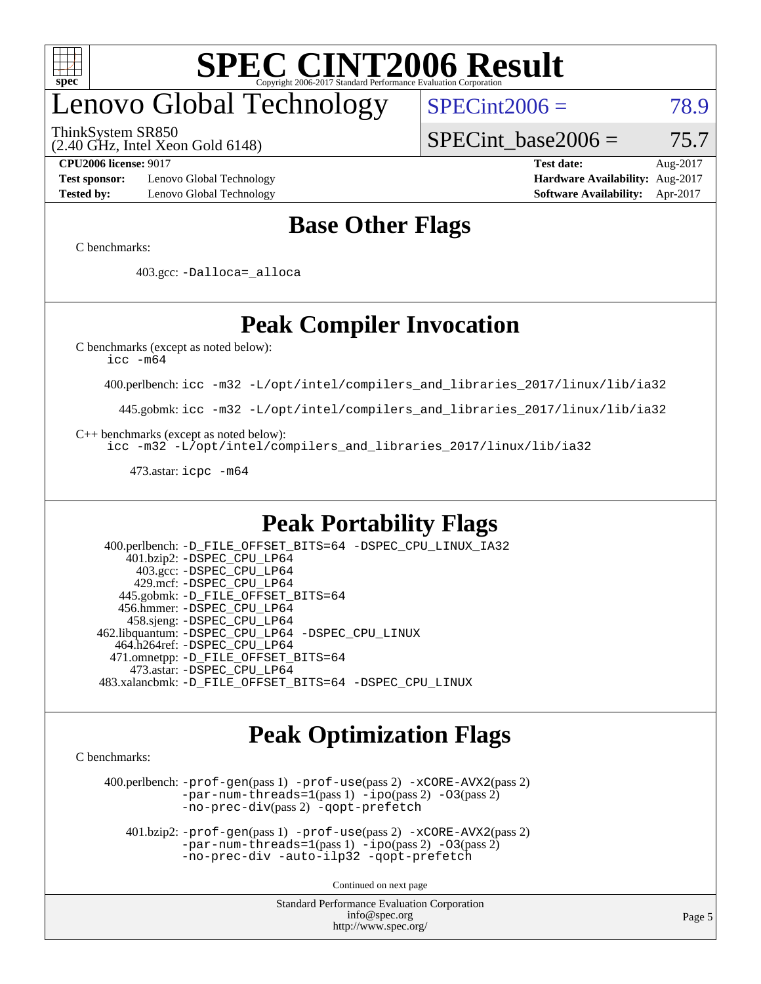

# enovo Global Technology

ThinkSystem SR850

(2.40 GHz, Intel Xeon Gold 6148)

 $SPECint2006 = 78.9$  $SPECint2006 = 78.9$ 

SPECint base2006 =  $75.7$ 

**[Test sponsor:](http://www.spec.org/auto/cpu2006/Docs/result-fields.html#Testsponsor)** Lenovo Global Technology **[Hardware Availability:](http://www.spec.org/auto/cpu2006/Docs/result-fields.html#HardwareAvailability)** Aug-2017 **[Tested by:](http://www.spec.org/auto/cpu2006/Docs/result-fields.html#Testedby)** Lenovo Global Technology **[Software Availability:](http://www.spec.org/auto/cpu2006/Docs/result-fields.html#SoftwareAvailability)** Apr-2017

**[CPU2006 license:](http://www.spec.org/auto/cpu2006/Docs/result-fields.html#CPU2006license)** 9017 **[Test date:](http://www.spec.org/auto/cpu2006/Docs/result-fields.html#Testdate)** Aug-2017

### **[Base Other Flags](http://www.spec.org/auto/cpu2006/Docs/result-fields.html#BaseOtherFlags)**

[C benchmarks](http://www.spec.org/auto/cpu2006/Docs/result-fields.html#Cbenchmarks):

403.gcc: [-Dalloca=\\_alloca](http://www.spec.org/cpu2006/results/res2017q4/cpu2006-20170918-49928.flags.html#b403.gcc_baseEXTRA_CFLAGS_Dalloca_be3056838c12de2578596ca5467af7f3)

## **[Peak Compiler Invocation](http://www.spec.org/auto/cpu2006/Docs/result-fields.html#PeakCompilerInvocation)**

[C benchmarks \(except as noted below\)](http://www.spec.org/auto/cpu2006/Docs/result-fields.html#Cbenchmarksexceptasnotedbelow):

[icc -m64](http://www.spec.org/cpu2006/results/res2017q4/cpu2006-20170918-49928.flags.html#user_CCpeak_intel_icc_64bit_bda6cc9af1fdbb0edc3795bac97ada53)

400.perlbench: [icc -m32 -L/opt/intel/compilers\\_and\\_libraries\\_2017/linux/lib/ia32](http://www.spec.org/cpu2006/results/res2017q4/cpu2006-20170918-49928.flags.html#user_peakCCLD400_perlbench_intel_icc_c29f3ff5a7ed067b11e4ec10a03f03ae)

445.gobmk: [icc -m32 -L/opt/intel/compilers\\_and\\_libraries\\_2017/linux/lib/ia32](http://www.spec.org/cpu2006/results/res2017q4/cpu2006-20170918-49928.flags.html#user_peakCCLD445_gobmk_intel_icc_c29f3ff5a7ed067b11e4ec10a03f03ae)

[C++ benchmarks \(except as noted below\):](http://www.spec.org/auto/cpu2006/Docs/result-fields.html#CXXbenchmarksexceptasnotedbelow)

[icc -m32 -L/opt/intel/compilers\\_and\\_libraries\\_2017/linux/lib/ia32](http://www.spec.org/cpu2006/results/res2017q4/cpu2006-20170918-49928.flags.html#user_CXXpeak_intel_icc_c29f3ff5a7ed067b11e4ec10a03f03ae)

473.astar: [icpc -m64](http://www.spec.org/cpu2006/results/res2017q4/cpu2006-20170918-49928.flags.html#user_peakCXXLD473_astar_intel_icpc_64bit_fc66a5337ce925472a5c54ad6a0de310)

### **[Peak Portability Flags](http://www.spec.org/auto/cpu2006/Docs/result-fields.html#PeakPortabilityFlags)**

 400.perlbench: [-D\\_FILE\\_OFFSET\\_BITS=64](http://www.spec.org/cpu2006/results/res2017q4/cpu2006-20170918-49928.flags.html#user_peakPORTABILITY400_perlbench_file_offset_bits_64_438cf9856305ebd76870a2c6dc2689ab) [-DSPEC\\_CPU\\_LINUX\\_IA32](http://www.spec.org/cpu2006/results/res2017q4/cpu2006-20170918-49928.flags.html#b400.perlbench_peakCPORTABILITY_DSPEC_CPU_LINUX_IA32) 401.bzip2: [-DSPEC\\_CPU\\_LP64](http://www.spec.org/cpu2006/results/res2017q4/cpu2006-20170918-49928.flags.html#suite_peakPORTABILITY401_bzip2_DSPEC_CPU_LP64) 403.gcc: [-DSPEC\\_CPU\\_LP64](http://www.spec.org/cpu2006/results/res2017q4/cpu2006-20170918-49928.flags.html#suite_peakPORTABILITY403_gcc_DSPEC_CPU_LP64) 429.mcf: [-DSPEC\\_CPU\\_LP64](http://www.spec.org/cpu2006/results/res2017q4/cpu2006-20170918-49928.flags.html#suite_peakPORTABILITY429_mcf_DSPEC_CPU_LP64) 445.gobmk: [-D\\_FILE\\_OFFSET\\_BITS=64](http://www.spec.org/cpu2006/results/res2017q4/cpu2006-20170918-49928.flags.html#user_peakPORTABILITY445_gobmk_file_offset_bits_64_438cf9856305ebd76870a2c6dc2689ab) 456.hmmer: [-DSPEC\\_CPU\\_LP64](http://www.spec.org/cpu2006/results/res2017q4/cpu2006-20170918-49928.flags.html#suite_peakPORTABILITY456_hmmer_DSPEC_CPU_LP64) 458.sjeng: [-DSPEC\\_CPU\\_LP64](http://www.spec.org/cpu2006/results/res2017q4/cpu2006-20170918-49928.flags.html#suite_peakPORTABILITY458_sjeng_DSPEC_CPU_LP64) 462.libquantum: [-DSPEC\\_CPU\\_LP64](http://www.spec.org/cpu2006/results/res2017q4/cpu2006-20170918-49928.flags.html#suite_peakPORTABILITY462_libquantum_DSPEC_CPU_LP64) [-DSPEC\\_CPU\\_LINUX](http://www.spec.org/cpu2006/results/res2017q4/cpu2006-20170918-49928.flags.html#b462.libquantum_peakCPORTABILITY_DSPEC_CPU_LINUX) 464.h264ref: [-DSPEC\\_CPU\\_LP64](http://www.spec.org/cpu2006/results/res2017q4/cpu2006-20170918-49928.flags.html#suite_peakPORTABILITY464_h264ref_DSPEC_CPU_LP64) 471.omnetpp: [-D\\_FILE\\_OFFSET\\_BITS=64](http://www.spec.org/cpu2006/results/res2017q4/cpu2006-20170918-49928.flags.html#user_peakPORTABILITY471_omnetpp_file_offset_bits_64_438cf9856305ebd76870a2c6dc2689ab) 473.astar: [-DSPEC\\_CPU\\_LP64](http://www.spec.org/cpu2006/results/res2017q4/cpu2006-20170918-49928.flags.html#suite_peakPORTABILITY473_astar_DSPEC_CPU_LP64) 483.xalancbmk: [-D\\_FILE\\_OFFSET\\_BITS=64](http://www.spec.org/cpu2006/results/res2017q4/cpu2006-20170918-49928.flags.html#user_peakPORTABILITY483_xalancbmk_file_offset_bits_64_438cf9856305ebd76870a2c6dc2689ab) [-DSPEC\\_CPU\\_LINUX](http://www.spec.org/cpu2006/results/res2017q4/cpu2006-20170918-49928.flags.html#b483.xalancbmk_peakCXXPORTABILITY_DSPEC_CPU_LINUX)

### **[Peak Optimization Flags](http://www.spec.org/auto/cpu2006/Docs/result-fields.html#PeakOptimizationFlags)**

[C benchmarks](http://www.spec.org/auto/cpu2006/Docs/result-fields.html#Cbenchmarks):

 400.perlbench: [-prof-gen](http://www.spec.org/cpu2006/results/res2017q4/cpu2006-20170918-49928.flags.html#user_peakPASS1_CFLAGSPASS1_LDCFLAGS400_perlbench_prof_gen_e43856698f6ca7b7e442dfd80e94a8fc)(pass 1) [-prof-use](http://www.spec.org/cpu2006/results/res2017q4/cpu2006-20170918-49928.flags.html#user_peakPASS2_CFLAGSPASS2_LDCFLAGS400_perlbench_prof_use_bccf7792157ff70d64e32fe3e1250b55)(pass 2) [-xCORE-AVX2](http://www.spec.org/cpu2006/results/res2017q4/cpu2006-20170918-49928.flags.html#user_peakPASS2_CFLAGSPASS2_LDCFLAGS400_perlbench_f-xCORE-AVX2)(pass 2) [-par-num-threads=1](http://www.spec.org/cpu2006/results/res2017q4/cpu2006-20170918-49928.flags.html#user_peakPASS1_CFLAGSPASS1_LDCFLAGS400_perlbench_par_num_threads_786a6ff141b4e9e90432e998842df6c2)(pass 1) [-ipo](http://www.spec.org/cpu2006/results/res2017q4/cpu2006-20170918-49928.flags.html#user_peakPASS2_CFLAGSPASS2_LDCFLAGS400_perlbench_f-ipo)(pass 2) [-O3](http://www.spec.org/cpu2006/results/res2017q4/cpu2006-20170918-49928.flags.html#user_peakPASS2_CFLAGSPASS2_LDCFLAGS400_perlbench_f-O3)(pass 2) [-no-prec-div](http://www.spec.org/cpu2006/results/res2017q4/cpu2006-20170918-49928.flags.html#user_peakPASS2_CFLAGSPASS2_LDCFLAGS400_perlbench_f-no-prec-div)(pass 2) [-qopt-prefetch](http://www.spec.org/cpu2006/results/res2017q4/cpu2006-20170918-49928.flags.html#user_peakCOPTIMIZE400_perlbench_f-qopt-prefetch)

 401.bzip2: [-prof-gen](http://www.spec.org/cpu2006/results/res2017q4/cpu2006-20170918-49928.flags.html#user_peakPASS1_CFLAGSPASS1_LDCFLAGS401_bzip2_prof_gen_e43856698f6ca7b7e442dfd80e94a8fc)(pass 1) [-prof-use](http://www.spec.org/cpu2006/results/res2017q4/cpu2006-20170918-49928.flags.html#user_peakPASS2_CFLAGSPASS2_LDCFLAGS401_bzip2_prof_use_bccf7792157ff70d64e32fe3e1250b55)(pass 2) [-xCORE-AVX2](http://www.spec.org/cpu2006/results/res2017q4/cpu2006-20170918-49928.flags.html#user_peakPASS2_CFLAGSPASS2_LDCFLAGS401_bzip2_f-xCORE-AVX2)(pass 2)  $-par-num-threads=1(pass 1) -ipo(pass 2) -O3(pass 2)$  $-par-num-threads=1(pass 1) -ipo(pass 2) -O3(pass 2)$  $-par-num-threads=1(pass 1) -ipo(pass 2) -O3(pass 2)$  $-par-num-threads=1(pass 1) -ipo(pass 2) -O3(pass 2)$  $-par-num-threads=1(pass 1) -ipo(pass 2) -O3(pass 2)$  $-par-num-threads=1(pass 1) -ipo(pass 2) -O3(pass 2)$ [-no-prec-div](http://www.spec.org/cpu2006/results/res2017q4/cpu2006-20170918-49928.flags.html#user_peakCOPTIMIZEPASS2_CFLAGSPASS2_LDCFLAGS401_bzip2_f-no-prec-div) [-auto-ilp32](http://www.spec.org/cpu2006/results/res2017q4/cpu2006-20170918-49928.flags.html#user_peakCOPTIMIZE401_bzip2_f-auto-ilp32) [-qopt-prefetch](http://www.spec.org/cpu2006/results/res2017q4/cpu2006-20170918-49928.flags.html#user_peakCOPTIMIZE401_bzip2_f-qopt-prefetch)

Continued on next page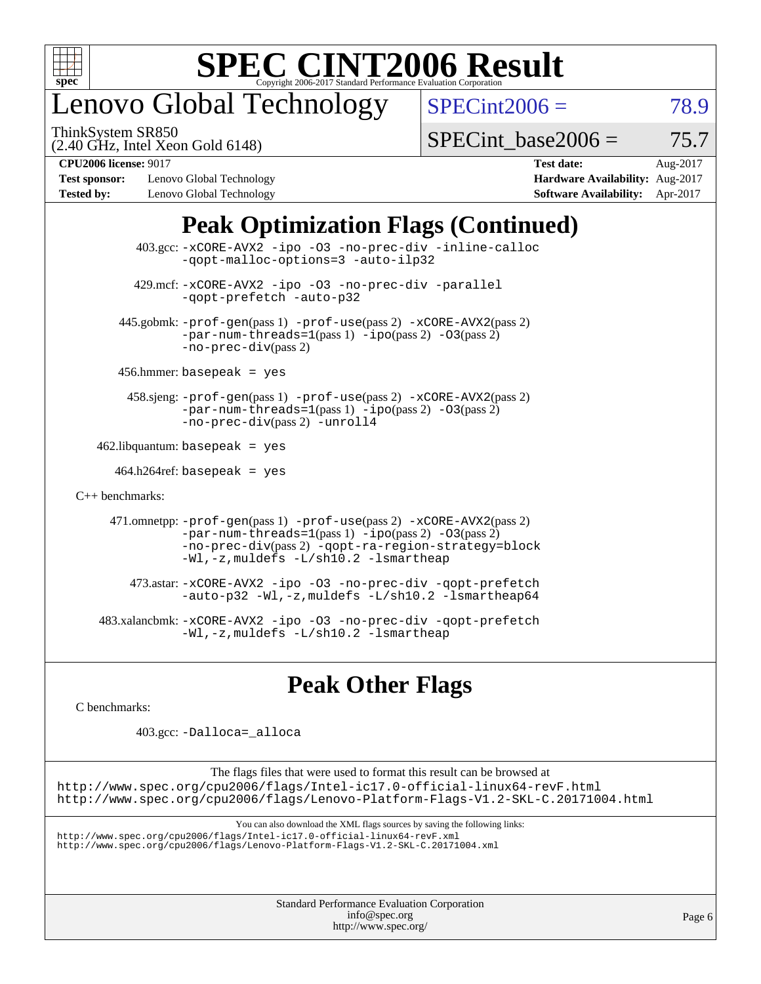

# enovo Global Technology

ThinkSystem SR850

 $SPECint2006 = 78.9$  $SPECint2006 = 78.9$ 

(2.40 GHz, Intel Xeon Gold 6148)

SPECint base2006 =  $75.7$ 

**[Test sponsor:](http://www.spec.org/auto/cpu2006/Docs/result-fields.html#Testsponsor)** Lenovo Global Technology **[Hardware Availability:](http://www.spec.org/auto/cpu2006/Docs/result-fields.html#HardwareAvailability)** Aug-2017 **[Tested by:](http://www.spec.org/auto/cpu2006/Docs/result-fields.html#Testedby)** Lenovo Global Technology **[Software Availability:](http://www.spec.org/auto/cpu2006/Docs/result-fields.html#SoftwareAvailability)** Apr-2017

**[CPU2006 license:](http://www.spec.org/auto/cpu2006/Docs/result-fields.html#CPU2006license)** 9017 **[Test date:](http://www.spec.org/auto/cpu2006/Docs/result-fields.html#Testdate)** Aug-2017

## **[Peak Optimization Flags \(Continued\)](http://www.spec.org/auto/cpu2006/Docs/result-fields.html#PeakOptimizationFlags)**

 403.gcc: [-xCORE-AVX2](http://www.spec.org/cpu2006/results/res2017q4/cpu2006-20170918-49928.flags.html#user_peakOPTIMIZE403_gcc_f-xCORE-AVX2) [-ipo](http://www.spec.org/cpu2006/results/res2017q4/cpu2006-20170918-49928.flags.html#user_peakOPTIMIZE403_gcc_f-ipo) [-O3](http://www.spec.org/cpu2006/results/res2017q4/cpu2006-20170918-49928.flags.html#user_peakOPTIMIZE403_gcc_f-O3) [-no-prec-div](http://www.spec.org/cpu2006/results/res2017q4/cpu2006-20170918-49928.flags.html#user_peakOPTIMIZE403_gcc_f-no-prec-div) [-inline-calloc](http://www.spec.org/cpu2006/results/res2017q4/cpu2006-20170918-49928.flags.html#user_peakCOPTIMIZE403_gcc_f-inline-calloc) [-qopt-malloc-options=3](http://www.spec.org/cpu2006/results/res2017q4/cpu2006-20170918-49928.flags.html#user_peakCOPTIMIZE403_gcc_f-qopt-malloc-options_0fcb435012e78f27d57f473818e45fe4) [-auto-ilp32](http://www.spec.org/cpu2006/results/res2017q4/cpu2006-20170918-49928.flags.html#user_peakCOPTIMIZE403_gcc_f-auto-ilp32) 429.mcf: [-xCORE-AVX2](http://www.spec.org/cpu2006/results/res2017q4/cpu2006-20170918-49928.flags.html#user_peakOPTIMIZE429_mcf_f-xCORE-AVX2) [-ipo](http://www.spec.org/cpu2006/results/res2017q4/cpu2006-20170918-49928.flags.html#user_peakOPTIMIZE429_mcf_f-ipo) [-O3](http://www.spec.org/cpu2006/results/res2017q4/cpu2006-20170918-49928.flags.html#user_peakOPTIMIZE429_mcf_f-O3) [-no-prec-div](http://www.spec.org/cpu2006/results/res2017q4/cpu2006-20170918-49928.flags.html#user_peakOPTIMIZE429_mcf_f-no-prec-div) [-parallel](http://www.spec.org/cpu2006/results/res2017q4/cpu2006-20170918-49928.flags.html#user_peakCOPTIMIZE429_mcf_f-parallel) [-qopt-prefetch](http://www.spec.org/cpu2006/results/res2017q4/cpu2006-20170918-49928.flags.html#user_peakCOPTIMIZE429_mcf_f-qopt-prefetch) [-auto-p32](http://www.spec.org/cpu2006/results/res2017q4/cpu2006-20170918-49928.flags.html#user_peakCOPTIMIZE429_mcf_f-auto-p32) 445.gobmk: [-prof-gen](http://www.spec.org/cpu2006/results/res2017q4/cpu2006-20170918-49928.flags.html#user_peakPASS1_CFLAGSPASS1_LDCFLAGS445_gobmk_prof_gen_e43856698f6ca7b7e442dfd80e94a8fc)(pass 1) [-prof-use](http://www.spec.org/cpu2006/results/res2017q4/cpu2006-20170918-49928.flags.html#user_peakPASS2_CFLAGSPASS2_LDCFLAGS445_gobmk_prof_use_bccf7792157ff70d64e32fe3e1250b55)(pass 2) [-xCORE-AVX2](http://www.spec.org/cpu2006/results/res2017q4/cpu2006-20170918-49928.flags.html#user_peakPASS2_CFLAGSPASS2_LDCFLAGS445_gobmk_f-xCORE-AVX2)(pass 2)  $-par-num-threads=1(pass 1) -ipo(pass 2) -O3(pass 2)$  $-par-num-threads=1(pass 1) -ipo(pass 2) -O3(pass 2)$  $-par-num-threads=1(pass 1) -ipo(pass 2) -O3(pass 2)$  $-par-num-threads=1(pass 1) -ipo(pass 2) -O3(pass 2)$  $-par-num-threads=1(pass 1) -ipo(pass 2) -O3(pass 2)$  $-par-num-threads=1(pass 1) -ipo(pass 2) -O3(pass 2)$ [-no-prec-div](http://www.spec.org/cpu2006/results/res2017q4/cpu2006-20170918-49928.flags.html#user_peakPASS2_CFLAGSPASS2_LDCFLAGS445_gobmk_f-no-prec-div)(pass 2) 456.hmmer: basepeak = yes 458.sjeng: [-prof-gen](http://www.spec.org/cpu2006/results/res2017q4/cpu2006-20170918-49928.flags.html#user_peakPASS1_CFLAGSPASS1_LDCFLAGS458_sjeng_prof_gen_e43856698f6ca7b7e442dfd80e94a8fc)(pass 1) [-prof-use](http://www.spec.org/cpu2006/results/res2017q4/cpu2006-20170918-49928.flags.html#user_peakPASS2_CFLAGSPASS2_LDCFLAGS458_sjeng_prof_use_bccf7792157ff70d64e32fe3e1250b55)(pass 2) [-xCORE-AVX2](http://www.spec.org/cpu2006/results/res2017q4/cpu2006-20170918-49928.flags.html#user_peakPASS2_CFLAGSPASS2_LDCFLAGS458_sjeng_f-xCORE-AVX2)(pass 2) [-par-num-threads=1](http://www.spec.org/cpu2006/results/res2017q4/cpu2006-20170918-49928.flags.html#user_peakPASS1_CFLAGSPASS1_LDCFLAGS458_sjeng_par_num_threads_786a6ff141b4e9e90432e998842df6c2)(pass 1) [-ipo](http://www.spec.org/cpu2006/results/res2017q4/cpu2006-20170918-49928.flags.html#user_peakPASS2_CFLAGSPASS2_LDCFLAGS458_sjeng_f-ipo)(pass 2) [-O3](http://www.spec.org/cpu2006/results/res2017q4/cpu2006-20170918-49928.flags.html#user_peakPASS2_CFLAGSPASS2_LDCFLAGS458_sjeng_f-O3)(pass 2) [-no-prec-div](http://www.spec.org/cpu2006/results/res2017q4/cpu2006-20170918-49928.flags.html#user_peakPASS2_CFLAGSPASS2_LDCFLAGS458_sjeng_f-no-prec-div)(pass 2) [-unroll4](http://www.spec.org/cpu2006/results/res2017q4/cpu2006-20170918-49928.flags.html#user_peakCOPTIMIZE458_sjeng_f-unroll_4e5e4ed65b7fd20bdcd365bec371b81f)  $462$ .libquantum: basepeak = yes  $464.h264$ ref: basepeak = yes [C++ benchmarks:](http://www.spec.org/auto/cpu2006/Docs/result-fields.html#CXXbenchmarks) 471.omnetpp: [-prof-gen](http://www.spec.org/cpu2006/results/res2017q4/cpu2006-20170918-49928.flags.html#user_peakPASS1_CXXFLAGSPASS1_LDCXXFLAGS471_omnetpp_prof_gen_e43856698f6ca7b7e442dfd80e94a8fc)(pass 1) [-prof-use](http://www.spec.org/cpu2006/results/res2017q4/cpu2006-20170918-49928.flags.html#user_peakPASS2_CXXFLAGSPASS2_LDCXXFLAGS471_omnetpp_prof_use_bccf7792157ff70d64e32fe3e1250b55)(pass 2) [-xCORE-AVX2](http://www.spec.org/cpu2006/results/res2017q4/cpu2006-20170918-49928.flags.html#user_peakPASS2_CXXFLAGSPASS2_LDCXXFLAGS471_omnetpp_f-xCORE-AVX2)(pass 2)  $-par-num-threads=1(pass 1) -ipo(pass 2) -O3(pass 2)$  $-par-num-threads=1(pass 1) -ipo(pass 2) -O3(pass 2)$  $-par-num-threads=1(pass 1) -ipo(pass 2) -O3(pass 2)$  $-par-num-threads=1(pass 1) -ipo(pass 2) -O3(pass 2)$  $-par-num-threads=1(pass 1) -ipo(pass 2) -O3(pass 2)$  $-par-num-threads=1(pass 1) -ipo(pass 2) -O3(pass 2)$ [-no-prec-div](http://www.spec.org/cpu2006/results/res2017q4/cpu2006-20170918-49928.flags.html#user_peakPASS2_CXXFLAGSPASS2_LDCXXFLAGS471_omnetpp_f-no-prec-div)(pass 2) [-qopt-ra-region-strategy=block](http://www.spec.org/cpu2006/results/res2017q4/cpu2006-20170918-49928.flags.html#user_peakCXXOPTIMIZE471_omnetpp_f-qopt-ra-region-strategy_0f7b543d62da454b380160c0e3b28f94) [-Wl,-z,muldefs](http://www.spec.org/cpu2006/results/res2017q4/cpu2006-20170918-49928.flags.html#user_peakEXTRA_LDFLAGS471_omnetpp_link_force_multiple1_74079c344b956b9658436fd1b6dd3a8a) [-L/sh10.2 -lsmartheap](http://www.spec.org/cpu2006/results/res2017q4/cpu2006-20170918-49928.flags.html#user_peakEXTRA_LIBS471_omnetpp_SmartHeap_b831f2d313e2fffa6dfe3f00ffc1f1c0) 473.astar: [-xCORE-AVX2](http://www.spec.org/cpu2006/results/res2017q4/cpu2006-20170918-49928.flags.html#user_peakOPTIMIZE473_astar_f-xCORE-AVX2) [-ipo](http://www.spec.org/cpu2006/results/res2017q4/cpu2006-20170918-49928.flags.html#user_peakOPTIMIZE473_astar_f-ipo) [-O3](http://www.spec.org/cpu2006/results/res2017q4/cpu2006-20170918-49928.flags.html#user_peakOPTIMIZE473_astar_f-O3) [-no-prec-div](http://www.spec.org/cpu2006/results/res2017q4/cpu2006-20170918-49928.flags.html#user_peakOPTIMIZE473_astar_f-no-prec-div) [-qopt-prefetch](http://www.spec.org/cpu2006/results/res2017q4/cpu2006-20170918-49928.flags.html#user_peakCXXOPTIMIZE473_astar_f-qopt-prefetch) [-auto-p32](http://www.spec.org/cpu2006/results/res2017q4/cpu2006-20170918-49928.flags.html#user_peakCXXOPTIMIZE473_astar_f-auto-p32) [-Wl,-z,muldefs](http://www.spec.org/cpu2006/results/res2017q4/cpu2006-20170918-49928.flags.html#user_peakEXTRA_LDFLAGS473_astar_link_force_multiple1_74079c344b956b9658436fd1b6dd3a8a) [-L/sh10.2 -lsmartheap64](http://www.spec.org/cpu2006/results/res2017q4/cpu2006-20170918-49928.flags.html#user_peakEXTRA_LIBS473_astar_SmartHeap64_63911d860fc08c15fa1d5bf319b9d8d5) 483.xalancbmk: [-xCORE-AVX2](http://www.spec.org/cpu2006/results/res2017q4/cpu2006-20170918-49928.flags.html#user_peakOPTIMIZE483_xalancbmk_f-xCORE-AVX2) [-ipo](http://www.spec.org/cpu2006/results/res2017q4/cpu2006-20170918-49928.flags.html#user_peakOPTIMIZE483_xalancbmk_f-ipo) [-O3](http://www.spec.org/cpu2006/results/res2017q4/cpu2006-20170918-49928.flags.html#user_peakOPTIMIZE483_xalancbmk_f-O3) [-no-prec-div](http://www.spec.org/cpu2006/results/res2017q4/cpu2006-20170918-49928.flags.html#user_peakOPTIMIZE483_xalancbmk_f-no-prec-div) [-qopt-prefetch](http://www.spec.org/cpu2006/results/res2017q4/cpu2006-20170918-49928.flags.html#user_peakCXXOPTIMIZE483_xalancbmk_f-qopt-prefetch) [-Wl,-z,muldefs](http://www.spec.org/cpu2006/results/res2017q4/cpu2006-20170918-49928.flags.html#user_peakEXTRA_LDFLAGS483_xalancbmk_link_force_multiple1_74079c344b956b9658436fd1b6dd3a8a) [-L/sh10.2 -lsmartheap](http://www.spec.org/cpu2006/results/res2017q4/cpu2006-20170918-49928.flags.html#user_peakEXTRA_LIBS483_xalancbmk_SmartHeap_b831f2d313e2fffa6dfe3f00ffc1f1c0)

**[Peak Other Flags](http://www.spec.org/auto/cpu2006/Docs/result-fields.html#PeakOtherFlags)**

[C benchmarks](http://www.spec.org/auto/cpu2006/Docs/result-fields.html#Cbenchmarks):

403.gcc: [-Dalloca=\\_alloca](http://www.spec.org/cpu2006/results/res2017q4/cpu2006-20170918-49928.flags.html#b403.gcc_peakEXTRA_CFLAGS_Dalloca_be3056838c12de2578596ca5467af7f3)

The flags files that were used to format this result can be browsed at <http://www.spec.org/cpu2006/flags/Intel-ic17.0-official-linux64-revF.html> <http://www.spec.org/cpu2006/flags/Lenovo-Platform-Flags-V1.2-SKL-C.20171004.html>

You can also download the XML flags sources by saving the following links:

<http://www.spec.org/cpu2006/flags/Intel-ic17.0-official-linux64-revF.xml> <http://www.spec.org/cpu2006/flags/Lenovo-Platform-Flags-V1.2-SKL-C.20171004.xml>